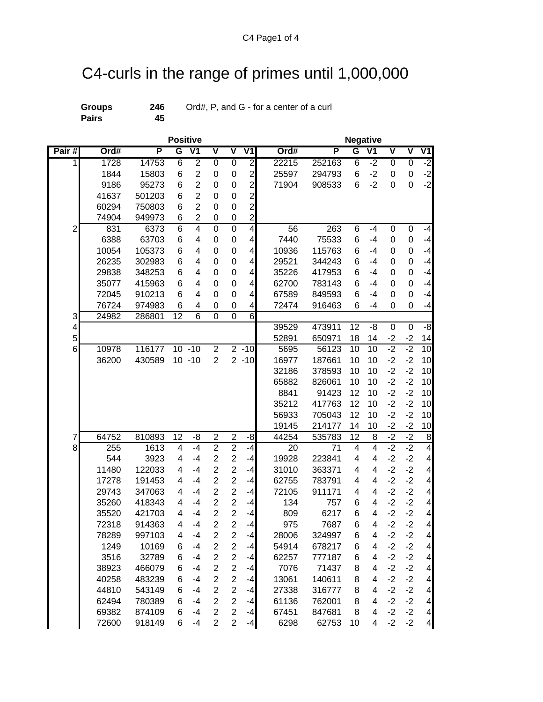## C4-curls in the range of primes until 1,000,000

**Pairs 45**

**Groups 246** Ord#, P, and G - for a center of a curl

| Pairs |
|-------|
|       |

| $O(10\pi)$ , i., and $O - 101$ a center of a cur |  |  |  |
|--------------------------------------------------|--|--|--|
|                                                  |  |  |  |

|                |       | <b>Positive</b> | <b>Negative</b>         |                          |                         |                         |                         |  |       |        |                |                         |                         |                         |                          |
|----------------|-------|-----------------|-------------------------|--------------------------|-------------------------|-------------------------|-------------------------|--|-------|--------|----------------|-------------------------|-------------------------|-------------------------|--------------------------|
| Pair#          | Ord#  | P               | G                       | $\overline{\mathsf{V1}}$ | $\overline{\mathtt{v}}$ | $\overline{\mathsf{v}}$ | V <sub>1</sub>          |  | Ord#  | P      | G              | $\overline{V1}$         | $\overline{\mathtt{v}}$ | $\overline{\mathtt{V}}$ | V1                       |
| 1              | 1728  | 14753           | $\overline{6}$          | $\overline{2}$           | $\overline{0}$          | 0                       | $\overline{2}$          |  | 22215 | 252163 | $\overline{6}$ | $-2$                    | $\overline{0}$          | 0                       | ż.                       |
|                | 1844  | 15803           | 6                       | $\overline{2}$           | 0                       | 0                       | $\overline{2}$          |  | 25597 | 294793 | 6              | $-2$                    | 0                       | 0                       | $-2$                     |
|                | 9186  | 95273           | 6                       | $\overline{2}$           | 0                       | 0                       | $\overline{2}$          |  | 71904 | 908533 | 6              | $-2$                    | 0                       | 0                       | $-2$                     |
|                | 41637 | 501203          | 6                       | $\overline{2}$           | 0                       | $\mathbf 0$             | $\overline{c}$          |  |       |        |                |                         |                         |                         |                          |
|                | 60294 | 750803          | 6                       | $\overline{2}$           | 0                       | $\mathbf 0$             | $\overline{c}$          |  |       |        |                |                         |                         |                         |                          |
|                | 74904 | 949973          | 6                       | $\overline{2}$           | 0                       | $\mathbf 0$             | $\overline{c}$          |  |       |        |                |                         |                         |                         |                          |
| $\overline{c}$ | 831   | 6373            | $\overline{6}$          | $\overline{4}$           | 0                       | $\overline{0}$          | $\overline{\mathbf{4}}$ |  | 56    | 263    | 6              | $-4$                    | 0                       | 0                       | $-4$                     |
|                | 6388  | 63703           | 6                       | 4                        | 0                       | 0                       | 4                       |  | 7440  | 75533  | 6              | -4                      | 0                       | 0                       | $-4$                     |
|                | 10054 | 105373          | 6                       | 4                        | 0                       | 0                       | 4                       |  | 10936 | 115763 | 6              | -4                      | 0                       | 0                       | $-4$                     |
|                | 26235 | 302983          | 6                       | 4                        | 0                       | 0                       | 4                       |  | 29521 | 344243 | 6              | -4                      | 0                       | 0                       | $-4$                     |
|                | 29838 | 348253          | 6                       | 4                        | 0                       | 0                       | 4                       |  | 35226 | 417953 | 6              | -4                      | 0                       | $\mathbf 0$             | $-4$                     |
|                | 35077 | 415963          | 6                       | 4                        | 0                       | 0                       | 4                       |  | 62700 | 783143 | 6              | -4                      | 0                       | $\mathbf 0$             | $-4$                     |
|                | 72045 | 910213          | 6                       | 4                        | 0                       | 0                       | 4                       |  | 67589 | 849593 | 6              | $-4$                    | 0                       | $\mathbf 0$             | $-4$                     |
|                | 76724 | 974983          | 6                       | 4                        | 0                       | 0                       | 4                       |  | 72474 | 916463 | 6              | $-4$                    | 0                       | 0                       | $-4$                     |
| 3              | 24982 | 286801          | 12                      | 6                        | $\mathbf 0$             | 0                       | 6                       |  |       |        |                |                         |                         |                         |                          |
| 4              |       |                 |                         |                          |                         |                         |                         |  | 39529 | 473911 | 12             | -8                      | $\boldsymbol{0}$        | 0                       | $-8$                     |
| 5              |       |                 |                         |                          |                         |                         |                         |  | 52891 | 650971 | 18             | 14                      | $-2$                    | $-2$                    | $\overline{14}$          |
| 6              | 10978 | 116177          | 10 <sup>1</sup>         | $-10$                    | $\overline{2}$          |                         | $2 - 10$                |  | 5695  | 56123  | 10             | $\overline{10}$         | $-2$                    | $-2$                    | 10                       |
|                | 36200 | 430589          | 10 <sup>1</sup>         | $-10$                    | $\overline{2}$          |                         | $2 - 10$                |  | 16977 | 187661 | 10             | 10                      | $-2$                    | $-2$                    | 10                       |
|                |       |                 |                         |                          |                         |                         |                         |  | 32186 | 378593 | 10             | 10                      | $-2$                    | $-2$                    | 10                       |
|                |       |                 |                         |                          |                         |                         |                         |  | 65882 | 826061 | 10             | 10                      | $-2$                    | $-2$                    | 10                       |
|                |       |                 |                         |                          |                         |                         |                         |  | 8841  | 91423  | 12             | 10                      | $-2$                    | $-2$                    | 10                       |
|                |       |                 |                         |                          |                         |                         |                         |  | 35212 | 417763 | 12             | 10                      | $-2$                    | $-2$                    | 10                       |
|                |       |                 |                         |                          |                         |                         |                         |  | 56933 | 705043 | 12             | 10                      | $-2$                    | $-2$                    | 10                       |
|                |       |                 |                         |                          |                         |                         |                         |  | 19145 | 214177 | 14             | 10                      | $-2$                    | $-2$                    | 10                       |
| 7              | 64752 | 810893          | 12                      | -8                       | $\mathbf 2$             | $\overline{2}$          | -8                      |  | 44254 | 535783 | 12             | 8                       | $-2$                    | $-2$                    | $\bf 8$                  |
| 8              | 255   | 1613            | 4                       | $-4$                     | $\overline{2}$          | $\overline{2}$          | $-4$                    |  | 20    | 71     | 4              | $\overline{\mathbf{4}}$ | $-2$                    | $-2$                    | $\overline{\mathbf{4}}$  |
|                | 544   | 3923            | 4                       | $-4$                     | $\overline{2}$          | $\overline{2}$          | -4                      |  | 19928 | 223841 | 4              | 4                       | $-2$                    | $-2$                    | $\overline{\mathbf{4}}$  |
|                | 11480 | 122033          | 4                       | $-4$                     | $\overline{2}$          | $\overline{c}$          | $-4$                    |  | 31010 | 363371 | 4              | 4                       | $-2$                    | $-2$                    | $\overline{\mathbf{4}}$  |
|                | 17278 | 191453          | 4                       | $-4$                     | $\overline{2}$          | $\overline{2}$          | $-4$                    |  | 62755 | 783791 | 4              | 4                       | $-2$                    | $-2$                    | $\overline{\mathbf{4}}$  |
|                | 29743 | 347063          | 4                       | $-4$                     | $\overline{2}$          | $\overline{2}$          | $-4$                    |  | 72105 | 911171 | 4              | 4                       | $-2$                    | $-2$                    | $\overline{\mathbf{4}}$  |
|                | 35260 | 418343          | 4                       | $-4$                     | $\overline{2}$          | $\overline{2}$          | $-4$                    |  | 134   | 757    | 6              | 4                       | $-2$                    | $-2$                    | $\overline{\mathbf{4}}$  |
|                | 35520 | 421703          | 4                       | $-4$                     | $\overline{2}$          | $\overline{2}$          | $-4$                    |  | 809   | 6217   | 6              | 4                       | $-2$                    | $-2$                    | $\overline{\mathbf{4}}$  |
|                | 72318 | 914363          | 4                       | $-4$                     | $\overline{2}$          | $\overline{2}$          | $-4$                    |  | 975   | 7687   | 6              | 4                       | $-2$                    | $-2$                    | $\vert$                  |
|                | 78289 | 997103          | $\overline{\mathbf{4}}$ | $-4$                     | $\mathbf 2$             | $\overline{c}$          | -4                      |  | 28006 | 324997 | $\,6$          | 4                       | $-2$                    | $-2$                    | 4                        |
|                | 1249  | 10169           | 6                       | $-4$                     | $\overline{\mathbf{c}}$ | $\overline{c}$          | $-4$                    |  | 54914 | 678217 | 6              | 4                       | $-2$                    | $-2$                    | $\overline{\mathcal{A}}$ |
|                | 3516  | 32789           | 6                       | $-4$                     | $\overline{c}$          | $\overline{c}$          | $-4$                    |  | 62257 | 777187 | 6              | $\overline{\mathbf{4}}$ | $-2$                    | $-2$                    | $\overline{\mathcal{A}}$ |
|                | 38923 | 466079          | 6                       | $-4$                     | $\overline{2}$          | $\overline{c}$          | $-4$                    |  | 7076  | 71437  | 8              | 4                       | $-2$                    | $-2$                    | $\overline{\mathbf{4}}$  |
|                | 40258 | 483239          | 6                       | $-4$                     | $\overline{2}$          | $\overline{2}$          | $-4$                    |  | 13061 | 140611 | 8              | 4                       | $-2$                    | $-2$                    | 4                        |
|                | 44810 | 543149          | 6                       | $-4$                     | $\overline{2}$          | $\overline{2}$          | $-4$                    |  | 27338 | 316777 | 8              | 4                       | $-2$                    | $-2$                    | $\overline{\mathcal{A}}$ |
|                | 62494 | 780389          | 6                       | $-4$                     | $\overline{2}$          | $\overline{2}$          | $-4$                    |  | 61136 | 762001 | 8              | 4                       | $-2$                    | $-2$                    | $\overline{\mathcal{A}}$ |
|                | 69382 | 874109          | 6                       | $-4$                     | $\overline{2}$          | $\overline{2}$          | $-4$                    |  | 67451 | 847681 | 8              | 4                       | $-2$                    | $-2$                    | $\vert 4 \vert$          |
|                | 72600 | 918149          | 6                       | $-4$                     | $\overline{2}$          | $\overline{2}$          | $-4$                    |  | 6298  | 62753  | 10             | 4                       | $-2$                    | $-2$                    | $\overline{4}$           |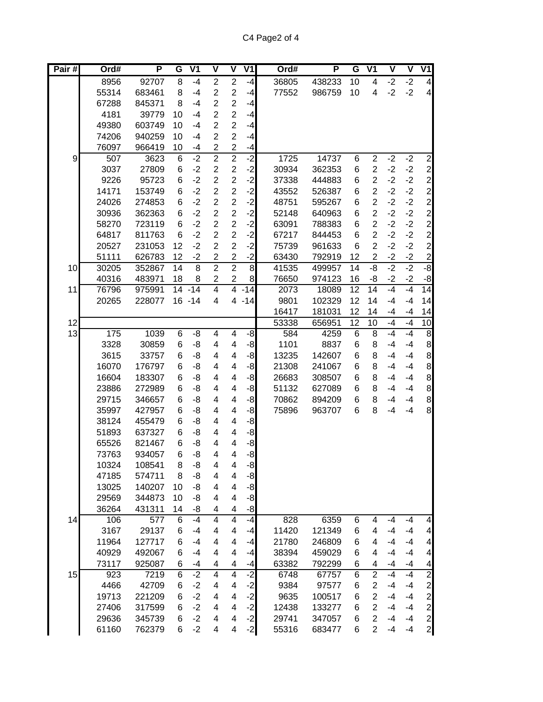| Pair#            | Ord#  | P      | G               | V <sub>1</sub> | $\overline{\mathsf{V}}$  | $\overline{\mathsf{V}}$ | V <sub>1</sub> | Ord#  | P      | G               | V <sub>1</sub>  | V    | V    | V1                                         |
|------------------|-------|--------|-----------------|----------------|--------------------------|-------------------------|----------------|-------|--------|-----------------|-----------------|------|------|--------------------------------------------|
|                  | 8956  | 92707  | 8               | $-4$           | $\overline{2}$           | $\overline{2}$          | $-4$           | 36805 | 438233 | 10              | $\overline{4}$  | $-2$ | $-2$ | $\overline{\mathbf{4}}$                    |
|                  | 55314 | 683461 | 8               | $-4$           | $\overline{2}$           | $\overline{c}$          | $-4$           | 77552 | 986759 | 10              | 4               | $-2$ | $-2$ | $\overline{\mathbf{4}}$                    |
|                  | 67288 | 845371 | 8               | $-4$           | $\overline{2}$           | $\overline{2}$          | $-4$           |       |        |                 |                 |      |      |                                            |
|                  | 4181  | 39779  | 10              | $-4$           | $\overline{2}$           | $\overline{2}$          | $-4$           |       |        |                 |                 |      |      |                                            |
|                  | 49380 | 603749 | 10              | $-4$           | $\overline{2}$           | $\overline{c}$          | $-4$           |       |        |                 |                 |      |      |                                            |
|                  | 74206 | 940259 | 10              | $-4$           | $\overline{2}$           | $\overline{c}$          | $-4$           |       |        |                 |                 |      |      |                                            |
|                  | 76097 | 966419 | 10              | -4             | $\overline{2}$           | $\overline{2}$          | $-4$           |       |        |                 |                 |      |      |                                            |
| $\boldsymbol{9}$ | 507   | 3623   | 6               | $-2$           | $\overline{2}$           | $\overline{2}$          | $-2$           | 1725  | 14737  | 6               | $\overline{2}$  | $-2$ | $-2$ | $\overline{2}$                             |
|                  | 3037  | 27809  | 6               | $-2$           | $\overline{2}$           | $\overline{c}$          | $-2$           | 30934 | 362353 | 6               | $\overline{2}$  | $-2$ | $-2$ | $\overline{c}$                             |
|                  | 9226  | 95723  | 6               | $-2$           | $\overline{2}$           | $\overline{2}$          | $-2$           | 37338 | 444883 | 6               | $\overline{2}$  | $-2$ | $-2$ | $\begin{array}{c} 2 \\ 2 \\ 2 \end{array}$ |
|                  | 14171 | 153749 | 6               | $-2$           | $\overline{2}$           | $\overline{2}$          | $-2$           | 43552 | 526387 | 6               | $\overline{2}$  | $-2$ | $-2$ |                                            |
|                  | 24026 | 274853 | 6               | $-2$           | $\overline{2}$           | $\overline{2}$          | $-2$           | 48751 | 595267 | 6               | $\overline{2}$  | $-2$ | $-2$ |                                            |
|                  | 30936 | 362363 | 6               | $-2$           | $\overline{2}$           | $\overline{2}$          | $-2$           | 52148 | 640963 | 6               | $\overline{2}$  | $-2$ | $-2$ | $\overline{c}$                             |
|                  | 58270 | 723119 | 6               | $-2$           | $\overline{2}$           | $\overline{2}$          | $-2$           | 63091 | 788383 | 6               | $\overline{2}$  | $-2$ | $-2$ | $\overline{c}$                             |
|                  | 64817 | 811763 | 6               | $-2$           | $\overline{2}$           | $\overline{2}$          | $-2$           | 67217 | 844453 | 6               | $\overline{2}$  | $-2$ | $-2$ | $\overline{c}$                             |
|                  | 20527 | 231053 | 12              | $-2$           | $\overline{2}$           | $\overline{2}$          | $-2$           | 75739 | 961633 | 6               | $\overline{2}$  | $-2$ | $-2$ | $\boldsymbol{2}$                           |
|                  | 51111 | 626783 | 12              | $-2$           | $\overline{c}$           | $\overline{2}$          | $-2$           | 63430 | 792919 | 12              | $\overline{2}$  | $-2$ | $-2$ | $\overline{\mathbf{c}}$                    |
| 10               | 30205 | 352867 | 14              | $\overline{8}$ | $\overline{2}$           | $\overline{2}$          | $\overline{8}$ | 41535 | 499957 | 14              | -8              | $-2$ | $-2$ | $-8$                                       |
|                  | 40316 | 483971 | 18              | 8              | $\overline{\mathbf{c}}$  | $\overline{c}$          | 8              | 76650 | 974123 | 16              | -8              | $-2$ | $-2$ | $-8$                                       |
| 11               | 76796 | 975991 | $\overline{14}$ | $-14$          | $\overline{4}$           | $\overline{4}$          | $-14$          | 2073  | 18089  | $\overline{12}$ | $\overline{14}$ | $-4$ | $-4$ | 14                                         |
|                  | 20265 | 228077 |                 | $16 - 14$      | 4                        | 4                       | $-14$          | 9801  | 102329 | 12              | 14              | $-4$ | $-4$ | 14                                         |
|                  |       |        |                 |                |                          |                         |                | 16417 | 181031 | 12              | 14              | $-4$ | $-4$ | 14                                         |
| 12               |       |        |                 |                |                          |                         |                | 53338 | 656951 | $\overline{12}$ | 10              | $-4$ | $-4$ | 10                                         |
| 13               | 175   | 1039   | 6               | $-\frac{8}{5}$ | $\overline{\mathbf{4}}$  | 4                       | -8             | 584   | 4259   | 6               | 8               | $-4$ | $-4$ | $\infty$                                   |
|                  | 3328  | 30859  | 6               | -8             | $\overline{\mathbf{4}}$  | 4                       | $-8$           | 1101  | 8837   | 6               | 8               | $-4$ | $-4$ | $\,$ 8 $\,$                                |
|                  | 3615  | 33757  | 6               | -8             | $\overline{\mathbf{4}}$  | 4                       | -8             | 13235 | 142607 | 6               | 8               | $-4$ | $-4$ | $\bf8$                                     |
|                  | 16070 | 176797 | 6               | -8             | $\overline{\mathbf{4}}$  | 4                       | -8             | 21308 | 241067 | 6               | 8               | $-4$ | $-4$ | $\bf8$                                     |
|                  | 16604 | 183307 | 6               | -8             | $\overline{\mathbf{4}}$  | 4                       | -8             | 26683 | 308507 | 6               | 8               | $-4$ | $-4$ | $\bf8$                                     |
|                  | 23886 | 272989 | 6               | -8             | $\overline{\mathbf{4}}$  | 4                       | -8             | 51132 | 627089 | 6               | 8               | $-4$ | $-4$ | 8                                          |
|                  | 29715 | 346657 | 6               | -8             | 4                        | 4                       | -8             | 70862 | 894209 | 6               | 8               | $-4$ | $-4$ | $\bf8$                                     |
|                  | 35997 | 427957 | 6               | -8             | 4                        | 4                       | -8             | 75896 | 963707 | 6               | 8               | $-4$ | $-4$ | 8                                          |
|                  | 38124 | 455479 | 6               | -8             | 4                        | 4                       | -8             |       |        |                 |                 |      |      |                                            |
|                  | 51893 | 637327 | 6               | -8             | 4                        | 4                       | $-8$           |       |        |                 |                 |      |      |                                            |
|                  | 65526 | 821467 | 6               | -8             | 4                        | 4                       | -8             |       |        |                 |                 |      |      |                                            |
|                  | 73763 | 934057 | 6               | -8             | 4                        | 4                       | $-8$           |       |        |                 |                 |      |      |                                            |
|                  | 10324 | 108541 | 8               | -8             | 4                        | 4                       | $-8$           |       |        |                 |                 |      |      |                                            |
|                  | 47185 | 574711 | 8               | -8             | $\overline{\mathbf{4}}$  | 4                       | $-8$           |       |        |                 |                 |      |      |                                            |
|                  | 13025 | 140207 | 10              | -8             | $\overline{\mathbf{4}}$  | 4                       | -8             |       |        |                 |                 |      |      |                                            |
|                  | 29569 | 344873 | 10              | -8             | $\overline{\mathbf{4}}$  | 4                       | -8             |       |        |                 |                 |      |      |                                            |
|                  | 36264 | 431311 | 14              | -8             | $\overline{\mathbf{4}}$  | 4                       | -8             |       |        |                 |                 |      |      |                                            |
| 14               | 106   | 577    | 6               | $-4$           | $\overline{4}$           | $\overline{4}$          | $-4$           | 828   | 6359   | 6               | 4               | $-4$ | $-4$ | $\overline{\mathbf{4}}$                    |
|                  | 3167  | 29137  | 6               | $-4$           | $\overline{\mathcal{A}}$ | 4                       | $-4$           | 11420 | 121349 | 6               | 4               | $-4$ | $-4$ | $\overline{\mathcal{A}}$                   |
|                  | 11964 | 127717 | 6               | $-4$           | $\overline{\mathbf{4}}$  | 4                       | $-4$           | 21780 | 246809 | 6               | 4               | $-4$ | $-4$ | $\overline{\mathcal{A}}$                   |
|                  | 40929 | 492067 | 6               | $-4$           | $\overline{\mathbf{4}}$  | 4                       | $-4$           | 38394 | 459029 | 6               | 4               | $-4$ | $-4$ | $\overline{\mathbf{4}}$                    |
|                  | 73117 | 925087 | 6               | $-4$           | 4                        | 4                       | $-4$           | 63382 | 792299 | 6               | 4               | $-4$ | $-4$ | $\overline{\mathbf{4}}$                    |
| 15               | 923   | 7219   | 6               | $-2$           | $\overline{4}$           | $\overline{4}$          | $-2$           | 6748  | 67757  | 6               | $\overline{2}$  | $-4$ | $-4$ | $\overline{2}$                             |
|                  | 4466  | 42709  | 6               | $-2$           | $\overline{\mathbf{4}}$  | 4                       | $-2$           | 9384  | 97577  | 6               | $\overline{2}$  | $-4$ | $-4$ | $\overline{\mathbf{c}}$                    |
|                  | 19713 | 221209 | 6               | $-2$           | $\overline{\mathbf{4}}$  | 4                       | $-2$           | 9635  | 100517 | 6               | $\overline{2}$  | $-4$ | $-4$ | $\overline{\mathbf{c}}$                    |
|                  | 27406 | 317599 | 6               | $-2$           | 4                        | 4                       | $-2$           | 12438 | 133277 | 6               | $\overline{2}$  | $-4$ | $-4$ | $\overline{c}$                             |
|                  | 29636 | 345739 | 6               | $-2$           | $\overline{\mathbf{4}}$  | 4                       | $-2$           | 29741 | 347057 | 6               | $\overline{2}$  | $-4$ | $-4$ | $\overline{c}$                             |
|                  | 61160 | 762379 | 6               | $-2$           | 4                        | 4                       | $-2$           | 55316 | 683477 | 6               | $\overline{2}$  | $-4$ | $-4$ | $\overline{c}$                             |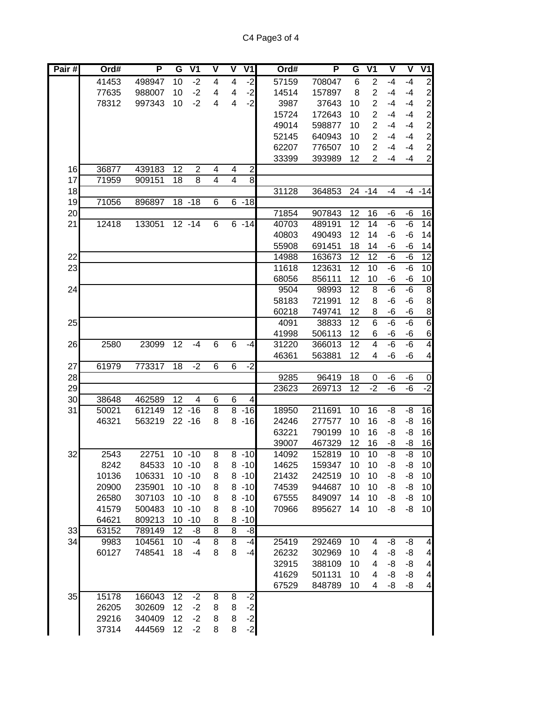| Pair# | Ord#  | P      | G  | $\overline{\mathsf{V}}$ 1 | $\overline{\mathsf{v}}$ | V                       | V1               |       | Ord# | P               | G               | V <sub>1</sub>  | $\overline{\mathsf{v}}$ | $\overline{\mathsf{v}}$ | V1                        |
|-------|-------|--------|----|---------------------------|-------------------------|-------------------------|------------------|-------|------|-----------------|-----------------|-----------------|-------------------------|-------------------------|---------------------------|
|       | 41453 | 498947 | 10 | $-2$                      | $\overline{\mathbf{4}}$ | 4                       | $-2$             | 57159 |      | 708047          | 6               | $\overline{2}$  | $-4$                    | $-4$                    | $\overline{c}$            |
|       | 77635 | 988007 | 10 | $-2$                      | $\overline{\mathbf{4}}$ | 4                       | $-2$             | 14514 |      | 157897          | 8               | $\overline{2}$  | $-4$                    | $-4$                    | $\overline{\mathbf{c}}$   |
|       | 78312 | 997343 | 10 | $-2$                      | 4                       | 4                       | $-2$             |       | 3987 | 37643           | 10              | $\overline{2}$  | $-4$                    | $-4$                    | $\overline{c}$            |
|       |       |        |    |                           |                         |                         |                  | 15724 |      | 172643          | 10              | $\overline{2}$  | $-4$                    | $-4$                    | $\overline{c}$            |
|       |       |        |    |                           |                         |                         |                  | 49014 |      | 598877          | 10              | $\overline{2}$  | $-4$                    | $-4$                    | $\overline{c}$            |
|       |       |        |    |                           |                         |                         |                  | 52145 |      | 640943          | 10              | $\overline{2}$  | $-4$                    | $-4$                    | $\overline{c}$            |
|       |       |        |    |                           |                         |                         |                  | 62207 |      | 776507          | 10              | $\overline{2}$  | $-4$                    | $-4$                    | $\overline{c}$            |
|       |       |        |    |                           |                         |                         |                  | 33399 |      | 393989          | 12              | $\overline{2}$  | -4                      | $-4$                    | $\overline{c}$            |
| 16    | 36877 | 439183 | 12 | $\overline{2}$            | 4                       | 4                       | $\boldsymbol{2}$ |       |      |                 |                 |                 |                         |                         |                           |
| 17    | 71959 | 909151 | 18 | 8                         | $\overline{\mathbf{4}}$ | $\overline{\mathbf{4}}$ | $\infty$         |       |      |                 |                 |                 |                         |                         |                           |
| 18    |       |        |    |                           |                         |                         |                  | 31128 |      | 364853          |                 | $24 - 14$       | -4                      |                         | $-4 - 14$                 |
| 19    | 71056 | 896897 |    | $18 - 18$                 | 6                       | 6                       | $-18$            |       |      |                 |                 |                 |                         |                         |                           |
| 20    |       |        |    |                           |                         |                         |                  | 71854 |      | 907843          | 12              | 16              | -6                      | -6                      | 16                        |
| 21    | 12418 | 133051 |    | $12 - 14$                 | 6                       |                         | $6 - 14$         | 40703 |      | 489191          | 12              | 14              | $-6$                    | $-6$                    | 14                        |
|       |       |        |    |                           |                         |                         |                  | 40803 |      | 490493          | 12              | 14              | -6                      | -6                      | 14                        |
|       |       |        |    |                           |                         |                         |                  | 55908 |      | 691451          | 18              | 14              | -6                      | -6                      | 14                        |
| 22    |       |        |    |                           |                         |                         |                  | 14988 |      | 163673          | $\overline{12}$ | $\overline{12}$ | $-6$                    | $-6$                    | 12                        |
| 23    |       |        |    |                           |                         |                         |                  | 11618 |      | 123631          | 12<br>12        | 10              | $-\overline{6}$         | $-\overline{6}$         | $\overline{10}$           |
| 24    |       |        |    |                           |                         |                         |                  | 68056 | 9504 | 856111<br>98993 | $\overline{12}$ | 10<br>8         | -6<br>$-\overline{6}$   | -6<br>$-\overline{6}$   | 10<br>$\infty$            |
|       |       |        |    |                           |                         |                         |                  | 58183 |      | 721991          | 12              | 8               | -6                      | -6                      |                           |
|       |       |        |    |                           |                         |                         |                  | 60218 |      | 749741          | 12              | 8               | -6                      | -6                      | $\bf 8$                   |
| 25    |       |        |    |                           |                         |                         |                  |       | 4091 | 38833           | $\overline{12}$ | $\overline{6}$  | $-6$                    | $-6$                    | $\bf 8$<br>$\overline{6}$ |
|       |       |        |    |                           |                         |                         |                  | 41998 |      | 506113          | 12              | 6               | -6                      | -6                      | $\,$ 6                    |
| 26    | 2580  | 23099  | 12 | $-4$                      | $\overline{6}$          | 6                       | $-4$             | 31220 |      | 366013          | $\overline{12}$ | $\overline{4}$  | $-6$                    | $-6$                    | $\overline{\mathbf{4}}$   |
|       |       |        |    |                           |                         |                         |                  | 46361 |      | 563881          | 12              | 4               | -6                      | -6                      | $\overline{\mathcal{A}}$  |
| 27    | 61979 | 773317 | 18 | $-2$                      | $\overline{6}$          | 6                       | $-2$             |       |      |                 |                 |                 |                         |                         |                           |
| 28    |       |        |    |                           |                         |                         |                  |       | 9285 | 96419           | 18              | 0               | -6                      | -6                      | 0                         |
| 29    |       |        |    |                           |                         |                         |                  | 23623 |      | 269713          | 12              | $-2$            | $-6$                    | -6                      | $-2$                      |
| 30    | 38648 | 462589 | 12 | 4                         | 6                       | 6                       | 4                |       |      |                 |                 |                 |                         |                         |                           |
| 31    | 50021 | 612149 |    | $12 - 16$                 | $\overline{8}$          | 8                       | $-16$            | 18950 |      | 211691          | 10              | 16              | -8                      | -8                      | 16                        |
|       | 46321 | 563219 |    | $22 - 16$                 | 8                       | 8                       | $-16$            | 24246 |      | 277577          | 10              | 16              | -8                      | -8                      | 16                        |
|       |       |        |    |                           |                         |                         |                  | 63221 |      | 790199          | 10              | 16              | -8                      | -8                      | 16                        |
|       |       |        |    |                           |                         |                         |                  | 39007 |      | 467329          | 12              | 16              | -8                      | -8                      | 16                        |
| 32    | 2543  | 22751  |    | $10 - 10$                 | 8                       | 8                       | $-10$            | 14092 |      | 152819          | 10              | 10              | -8                      | -8                      | 10                        |
|       | 8242  | 84533  |    | $10 - 10$                 | 8                       | 8                       | $-10$            | 14625 |      | 159347          | 10              | 10              | -8                      | -8                      | 10                        |
|       | 10136 | 106331 |    | $10 - 10$                 | 8                       | 8                       | $-10$            | 21432 |      | 242519          | 10              | 10              | -8                      | -8                      | 10                        |
|       | 20900 | 235901 |    | $10 - 10$                 | 8                       | 8                       | $-10$            | 74539 |      | 944687          | 10              | 10              | -8                      | -8                      | 10                        |
|       | 26580 | 307103 |    | $10 - 10$                 | 8                       | 8                       | $-10$            | 67555 |      | 849097          | 14              | 10              | -8                      | -8                      | 10                        |
|       | 41579 | 500483 |    | $10 - 10$                 | 8                       | 8                       | $-10$            | 70966 |      | 895627          | 14              | 10              | -8                      | -8                      | 10                        |
|       | 64621 | 809213 |    | $10 - 10$                 | 8                       | 8                       | $-10$            |       |      |                 |                 |                 |                         |                         |                           |
| 33    | 63152 | 789149 | 12 | -8                        | $\overline{8}$          | $\overline{8}$          | -8               |       |      |                 |                 |                 |                         |                         |                           |
| 34    | 9983  | 104561 | 10 | $-4$                      | $\overline{8}$          | $\overline{8}$          | $-4$             | 25419 |      | 292469          | 10              | 4               | -8                      | -8                      | $\overline{\mathcal{A}}$  |
|       | 60127 | 748541 | 18 | $-4$                      | 8                       | 8                       | $-4$             | 26232 |      | 302969          | 10              | 4               | -8                      | -8                      | 4                         |
|       |       |        |    |                           |                         |                         |                  | 32915 |      | 388109          | 10              | 4               | -8                      | -8                      | $\overline{\mathbf{4}}$   |
|       |       |        |    |                           |                         |                         |                  | 41629 |      | 501131          | 10              | 4               | -8                      | -8                      | $\overline{\mathcal{A}}$  |
|       |       |        |    |                           |                         |                         |                  | 67529 |      | 848789          | 10              | 4               | -8                      | -8                      | $\overline{\mathcal{A}}$  |
| 35    | 15178 | 166043 | 12 | $-2$                      | 8                       | 8                       | $-2$             |       |      |                 |                 |                 |                         |                         |                           |
|       | 26205 | 302609 | 12 | $-2$                      | 8                       | 8                       | $-2$             |       |      |                 |                 |                 |                         |                         |                           |
|       | 29216 | 340409 | 12 | $-2$                      | 8                       | 8                       | $-2$             |       |      |                 |                 |                 |                         |                         |                           |
|       | 37314 | 444569 | 12 | $-2$                      | 8                       | 8                       | $-2$             |       |      |                 |                 |                 |                         |                         |                           |